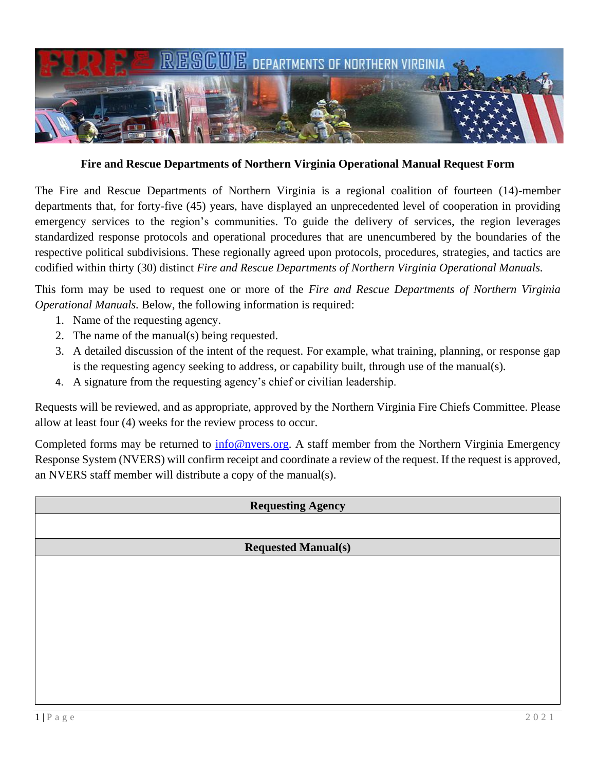

**Fire and Rescue Departments of Northern Virginia Operational Manual Request Form**

The Fire and Rescue Departments of Northern Virginia is a regional coalition of fourteen (14)-member departments that, for forty-five (45) years, have displayed an unprecedented level of cooperation in providing emergency services to the region's communities. To guide the delivery of services, the region leverages standardized response protocols and operational procedures that are unencumbered by the boundaries of the respective political subdivisions. These regionally agreed upon protocols, procedures, strategies, and tactics are codified within thirty (30) distinct *Fire and Rescue Departments of Northern Virginia Operational Manuals.* 

This form may be used to request one or more of the *Fire and Rescue Departments of Northern Virginia Operational Manuals.* Below, the following information is required:

- 1. Name of the requesting agency.
- 2. The name of the manual(s) being requested.
- 3. A detailed discussion of the intent of the request. For example, what training, planning, or response gap is the requesting agency seeking to address, or capability built, through use of the manual(s).
- 4. A signature from the requesting agency's chief or civilian leadership.

Requests will be reviewed, and as appropriate, approved by the Northern Virginia Fire Chiefs Committee. Please allow at least four (4) weeks for the review process to occur.

Completed forms may be returned to [info@nvers.org.](mailto:info@nvers.org) A staff member from the Northern Virginia Emergency Response System (NVERS) will confirm receipt and coordinate a review of the request. If the request is approved, an NVERS staff member will distribute a copy of the manual(s).

## **Requesting Agency**

## **Requested Manual(s)**